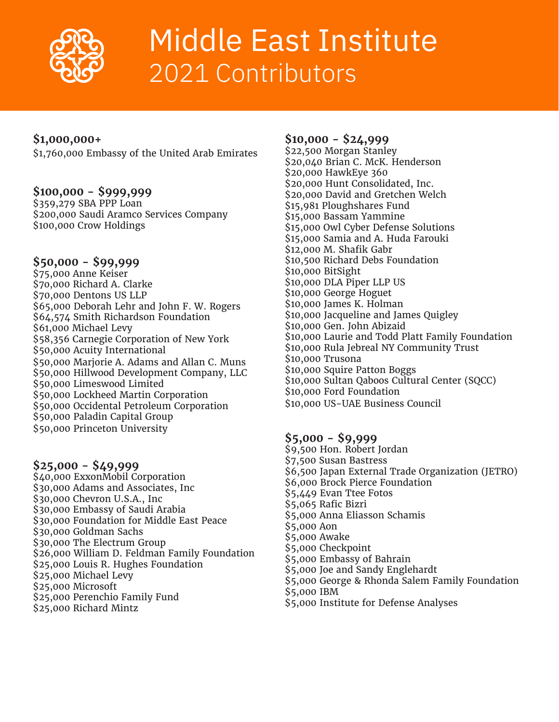

# Middle East Institute 2021 Contributors

## **\$1,000,000+**

\$1,760,000 Embassy of the United Arab Emirates

#### **\$100,000 - \$999,999**

\$359,279 SBA PPP Loan \$200,000 Saudi Aramco Services Company \$100,000 Crow Holdings

## **\$50,000 - \$99,999**

\$75,000 Anne Keiser \$7o,000 Richard A. Clarke \$70,000 Dentons US LLP \$65,000 Deborah Lehr and John F. W. Rogers \$64,574 Smith Richardson Foundation \$61,000 Michael Levy \$58,356 Carnegie Corporation of New York \$50,000 Acuity International \$50,000 Marjorie A. Adams and Allan C. Muns \$50,000 Hillwood Development Company, LLC \$50,000 Limeswood Limited \$50,000 Lockheed Martin Corporation \$50,000 Occidental Petroleum Corporation \$50,000 Paladin Capital Group \$50,000 Princeton University

#### **\$25,000 - \$49,999**

\$40,000 ExxonMobil Corporation \$30,000 Adams and Associates, Inc \$30,000 Chevron U.S.A., Inc \$30,000 Embassy of Saudi Arabia \$30,000 Foundation for Middle East Peace \$30,000 Goldman Sachs \$30,000 The Electrum Group \$26,000 William D. Feldman Family Foundation \$25,000 Louis R. Hughes Foundation \$25,000 Michael Levy \$25,000 Microsoft \$25,000 Perenchio Family Fund \$25,000 Richard Mintz

#### **\$10,000 - \$24,999**

\$22,500 Morgan Stanley \$20,040 Brian C. McK. Henderson \$20,000 HawkEye 360 \$20,000 Hunt Consolidated, Inc. \$20,000 David and Gretchen Welch \$15,981 Ploughshares Fund \$15,000 Bassam Yammine \$15,000 Owl Cyber Defense Solutions \$15,000 Samia and A. Huda Farouki \$12,000 M. Shafik Gabr \$10,500 Richard Debs Foundation \$10,000 BitSight \$10,000 DLA Piper LLP US \$10,000 George Hoguet \$10,000 James K. Holman \$10,000 Jacqueline and James Quigley \$10,000 Gen. John Abizaid \$10,000 Laurie and Todd Platt Family Foundation \$10,000 Rula Jebreal NY Community Trust \$10,000 Trusona \$10,000 Squire Patton Boggs \$10,000 Sultan Qaboos Cultural Center (SQCC) \$10,000 Ford Foundation \$10,000 US-UAE Business Council

## **\$5,000 - \$9,999**

\$9,500 Hon. Robert Jordan \$7,500 Susan Bastress \$6,500 Japan External Trade Organization (JETRO) \$6,000 Brock Pierce Foundation \$5,449 Evan Ttee Fotos \$5,065 Rafic Bizri \$5,000 Anna Eliasson Schamis \$5,000 Aon \$5,000 Awake \$5,000 Checkpoint \$5,000 Embassy of Bahrain \$5,000 Joe and Sandy Englehardt \$5,000 George & Rhonda Salem Family Foundation \$5,000 IBM \$5,000 Institute for Defense Analyses